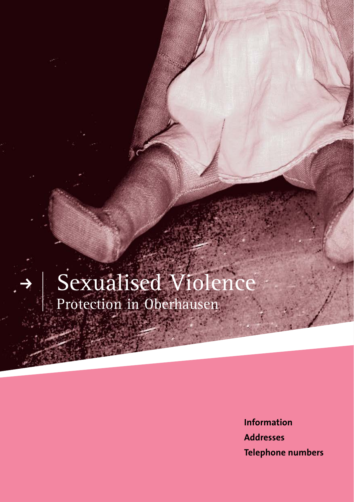# Sexualised Violence Protection in Oberhausen

**Information Addresses Telephone numbers**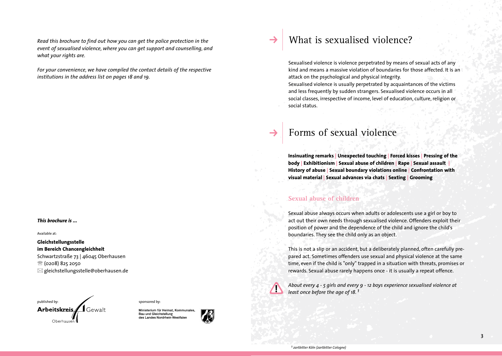*Read this brochure to find out how you can get the police protection in the event of sexualised violence, where you can get support and counselling, and what your rights are.*

*For your convenience, we have compiled the contact details of the respective institutions in the address list on pages 18 and 19.*

#### *This brochure is ...*

Available at:

#### **Gleichstellungsstelle im Bereich Chancengleichheit**

Schwartzstraße 73 | 46045 Oberhausen <sup>3</sup> (0208) 825 2050  $\boxtimes$  gleichstellungsstelle@oberhausen.de



sponsored by:



## What is sexualised violence?

Sexualised violence is violence perpetrated by means of sexual acts of any kind and means a massive violation of boundaries for those affected. It is an attack on the psychological and physical integrity.

Sexualised violence is usually perpetrated by acquaintances of the victims and less frequently by sudden strangers. Sexualised violence occurs in all social classes, irrespective of income, level of education, culture, religion or social status.

## Forms of sexual violence

**Insinuating remarks | Unexpected touching | Forced kisses | Pressing of the body | Exhibitionism | Sexual abuse of children | Rape | Sexual assault | History of abuse | Sexual boundary violations online | Confrontation with visual material | Sexual advances via chats | Sexting | Grooming**

#### **Sexual abuse of children**

Sexual abuse always occurs when adults or adolescents use a girl or boy to act out their own needs through sexualised violence. Offenders exploit their position of power and the dependence of the child and ignore the child's boundaries. They see the child only as an object.

This is not a slip or an accident, but a deliberately planned, often carefully prepared act. Sometimes offenders use sexual and physical violence at the same time, even if the child is "only" trapped in a situation with threats, promises or rewards. Sexual abuse rarely happens once - it is usually a repeat offence.



*About every 4 - 5 girls and every 9 - 12 boys experience sexualised violence at least once before the age of 18. 1*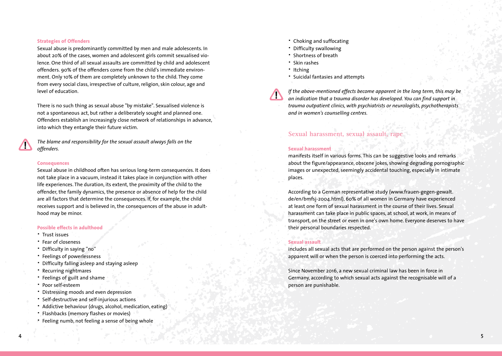#### **Strategies of Offenders**

Sexual abuse is predominantly committed by men and male adolescents. In about 20% of the cases, women and adolescent girls commit sexualised violence. One third of all sexual assaults are committed by child and adolescent offenders. 90% of the offenders come from the child's immediate environment. Only 10% of them are completely unknown to the child. They come from every social class, irrespective of culture, religion, skin colour, age and level of education.

There is no such thing as sexual abuse "by mistake". Sexualised violence is not a spontaneous act, but rather a deliberately sought and planned one. Offenders establish an increasingly close network of relationships in advance, into which they entangle their future victim.

*The blame and responsibility for the sexual assault always falls on the offenders.*

#### **Consequences**

Sexual abuse in childhood often has serious long-term consequences. It does not take place in a vacuum, instead it takes place in conjunction with other life experiences. The duration, its extent, the proximity of the child to the offender, the family dynamics, the presence or absence of help for the child are all factors that determine the consequences. If, for example, the child receives support and is believed in, the consequences of the abuse in adulthood may be minor.

#### **Possible effects in adulthood**

- · Trust issues
- · Fear of closeness
- · Difficulty in saying ''no''
- · Feelings of powerlessness
- · Difficulty falling asleep and staying asleep
- · Recurring nightmares
- · Feelings of guilt and shame
- · Poor self-esteem
- · Distressing moods and even depression
- · Self-destructive and self-injurious actions
- · Addictive behaviour (drugs, alcohol, medication, eating)
- · Flashbacks (memory flashes or movies)
- · Feeling numb, not feeling a sense of being whole
- · Choking and suffocating
- · Difficulty swallowing
- · Shortness of breath
- · Skin rashes
- · Itching
- · Suicidal fantasies and attempts

*If the above-mentioned effects become apparent in the long term, this may be an indication that a trauma disorder has developed. You can find support in trauma outpatient clinics, with psychiatrists or neurologists, psychotherapists and in women's counselling centres.*

### **Sexual harassment, sexual assault, rape**

#### **Sexual harassment**

manifests itself in various forms. This can be suggestive looks and remarks about the figure/appearance, obscene jokes, showing degrading pornographic images or unexpected, seemingly accidental touching, especially in intimate places.

According to a German representative study (www.frauen-gegen-gewalt. de/en/bmfsj-2004.html), 60% of all women in Germany have experienced at least one form of sexual harassment in the course of their lives. Sexual harassment can take place in public spaces, at school, at work, in means of transport, on the street or even in one's own home. Everyone deserves to have their personal boundaries respected.

#### **Sexual assault**

includes all sexual acts that are performed on the person against the person's apparent will or when the person is coerced into performing the acts.

Since November 2016, a new sexual criminal law has been in force in Germany, according to which sexual acts against the recognisable will of a person are punishable.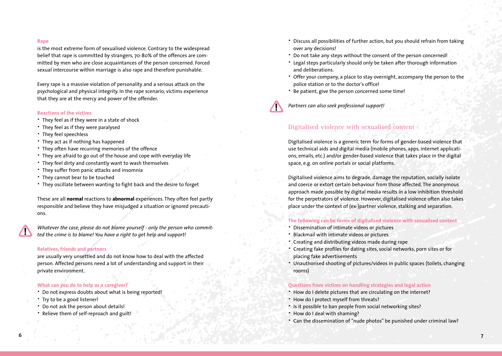#### **Rape**

is the most extreme form of sexualised violence. Contrary to the widespread belief that rape is committed by strangers, 70-80% of the offences are committed by men who are close acquaintances of the person concerned. Forced sexual intercourse within marriage is also rape and therefore punishable.

Every rape is a massive violation of personality and a serious attack on the psychological and physical integrity. In the rape scenario, victims experience that they are at the mercy and power of the offender.

#### **Reactions of the victims**

- · They feel as if they were in a state of shock
- · They feel as if they were paralysed
- · They feel speechless
- · They act as if nothing has happened
- · They often have recurring memories of the offence
- · They are afraid to go out of the house and cope with everyday life
- · They feel dirty and constantly want to wash themselves
- · They suffer from panic attacks and insomnia
- · They cannot bear to be touched
- · They oscillate between wanting to fight back and the desire to forget

These are all **normal** reactions to **abnormal** experiences. They often feel partly responsible and believe they have misjudged a situation or ignored precautions.

*Whatever the case, please do not blame yourself - only the person who committed the crime is to blame! You have a right to get help and support!*

#### **Relatives, friends and partners**

are usually very unsettled and do not know how to deal with the affected person. Affected persons need a lot of understanding and support in their private environment.

#### **What can you do to help as a caregiver?**

- · Do not express doubts about what is being reported!
- · Try to be a good listener!
- · Do not ask the person about details!
- · Relieve them of self-reproach and guilt!
- · Discuss all possibilities of further action, but you should refrain from taking over any decisions!
- · Do not take any steps without the consent of the person concerned!
- · Legal steps particularly should only be taken after thorough information and deliberations.
- · Offer your company, a place to stay overnight, accompany the person to the police station or to the doctor's office!
- · Be patient, give the person concerned some time!



*Partners can also seek professional support!*

#### **Digitalised violence with sexualised content**

Digitalised violence is a generic term for forms of gender-based violence that use technical aids and digital media (mobile phones, apps, internet applications, emails, etc.) and/or gender-based violence that takes place in the digital space, e.g. on online portals or social platforms.

Digitalised violence aims to degrade, damage the reputation, socially isolate and coerce or extort certain behaviour from those affected. The anonymous approach made possible by digital media results in a low inhibition threshold for the perpetrators of violence. However, digitalised violence often also takes place under the context of (ex-)partner violence, stalking and separation.

#### **The following can be forms of digitalised violence with sexualised content**

- Dissemination of intimate videos or pictures
- Blackmail with intimate videos or pictures
- · Creating and distributing videos made during rape
- · Creating fake profiles for dating sites, social networks, porn sites or for placing fake advertisements
- · Unauthorised shooting of pictures/videos in public spaces (toilets, changing rooms)

#### **Questions from victims on handling strategies and legal action**

- · How do I delete pictures that are circulating on the internet?
- · How do I protect myself from threats?
- · Is it possible to ban people from social networking sites?
- · How do I deal with shaming?
- · Can the dissemination of "nude photos" be punished under criminal law?

**6 7**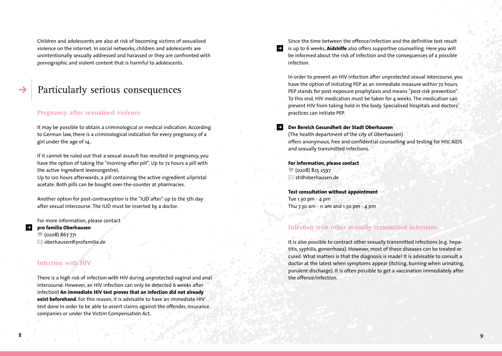Children and adolescents are also at risk of becoming victims of sexualised violence on the internet. In social networks, children and adolescents are unintentionally sexually addressed and harassed or they are confronted with pornographic and violent content that is harmful to adolescents.

## Particularly serious consequences

#### **Pregnancy after sexualised violence**

It may be possible to obtain a criminological or medical indication. According to German law, there is a criminological indication for every pregnancy of a girl under the age of 14.

If it cannot be ruled out that a sexual assault has resulted in pregnancy, you have the option of taking the "morning-after pill". Up to 72 hours a pill with the active ingredient levonorgestrel,

Up to 120 hours afterwards, a pill containing the active ingredient ulipristal acetate. Both pills can be bought over-the-counter at pharmacies.

Another option for post-contraception is the "IUD after" up to the 5th day after sexual intercourse. The IUD must be inserted by a doctor.

For more information, please contact

#### $\rightarrow$ **pro familia Oberhausen**

 $\circ$  (0208) 867 771  $\boxtimes$  oberhausen@profamilia.de

#### **Infection with HIV**

There is a high risk of infection with HIV during unprotected vaginal and anal intercourse. However, an HIV infection can only be detected 6 weeks after infection! **An immediate HIV test proves that an infection did not already exist beforehand**. For this reason, it is advisable to have an immediate HIV test done in order to be able to assert claims against the offender, insurance companies or under the Victim Compensation Act.

Since the time between the offence/infection and the definitive test result is up to 6 weeks, **Aidshilfe** also offers supportive counselling. Here you will be informed about the risk of infection and the consequences of a possible infection.

In order to prevent an HIV infection after unprotected sexual intercourse, you have the option of initiating PEP as an immediate measure within 72 hours. PEP stands for post-exposure prophylaxis and means "post-risk prevention". To this end, HIV medication must be taken for 4 weeks. The medication can prevent HIV from taking hold in the body. Specialised hospitals and doctors' practices can initiate PEP.

#### **Der Bereich Gesundheit der Stadt Oberhausen**

(The health department of the city of Oberhausen) offers anonymous, free and confidential counselling and testing for HIV, AIDS and sexually transmitted infections.

**For information, please contact**  $\circ$  (0208) 825 2597  $\boxtimes$  sti@oberhausen.de

**Test consultation without appointment** Tue 1.30 pm - 4 pm Thu 7.30 am - 11 am and 1.30 pm - 4 pm

#### **Infection with other sexually transmitted infections**

It is also possible to contract other sexually transmitted infections (e.g. hepatitis, syphilis, gonorrhoea). However, most of these diseases can be treated or cured. What matters is that the diagnosis is made! It is advisable to consult a doctor at the latest when symptoms appear (itching, burning when urinating, purulent discharge). It is often possible to get a vaccination immediately after the offence/infection.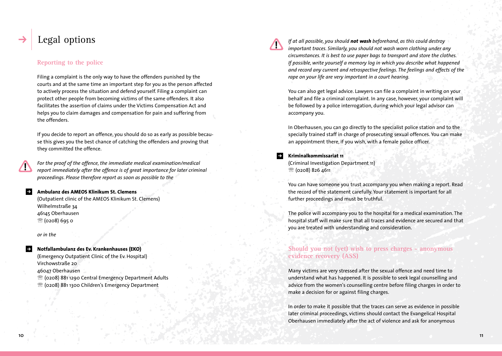## Legal options

#### **Reporting to the police**

Filing a complaint is the only way to have the offenders punished by the courts and at the same time an important step for you as the person affected to actively process the situation and defend yourself. Filing a complaint can protect other people from becoming victims of the same offenders. It also facilitates the assertion of claims under the Victims Compensation Act and helps you to claim damages and compensation for pain and suffering from the offenders.

If you decide to report an offence, you should do so as early as possible because this gives you the best chance of catching the offenders and proving that they committed the offence.

*For the proof of the offence, the immediate medical examination/medical report immediately after the offence is of great importance for later criminal proceedings. Please therefore report as soon as possible to the*

#### $\rightarrow$ **Ambulanz des AMEOS Klinikum St. Clemens**

(Outpatient clinic of the AMEOS Klinikum St. Clemens) Wilhelmstraße 34 46145 Oberhausen  $\circ$  (0208) 695 0

*or in the*

#### **Notfallambulanz des Ev. Krankenhauses (EKO)**  (Emergency Outpatient Clinic of the Ev. Hospital) Virchowstraße 20

46047 Oberhausen

 $\mathfrak{B}$  (0208) 881 1290 Central Emergency Department Adults <sup>®</sup> (0208) 881 1300 Children's Emergency Department

*If at all possible, you should not wash beforehand, as this could destroy important traces. Similarly, you should not wash worn clothing under any circumstances. It is best to use paper bags to transport and store the clothes. If possible, write yourself a memory log in which you describe what happened and record any current and retrospective feelings. The feelings and effects of the rape on your life are very important in a court hearing.*

You can also get legal advice. Lawyers can file a complaint in writing on your behalf and file a criminal complaint. In any case, however, your complaint will be followed by a police interrogation, during which your legal advisor can accompany you.

In Oberhausen, you can go directly to the specialist police station and to the specially trained staff in charge of prosecuting sexual offences. You can make an appointment there, if you wish, with a female police officer.

#### $\rightarrow$ **Kriminalkommissariat 11**

(Criminal Investigation Department 11) <sup>2</sup> (0208) 826 4611

You can have someone you trust accompany you when making a report. Read the record of the statement carefully. Your statement is important for all further proceedings and must be truthful.

The police will accompany you to the hospital for a medical examination. The hospital staff will make sure that all traces and evidence are secured and that you are treated with understanding and consideration.

#### **Should you not (yet) wish to press charges - anonymous evidence recovery (ASS)**

Many victims are very stressed after the sexual offence and need time to understand what has happened. It is possible to seek legal counselling and advice from the women's counselling centre before filing charges in order to make a decision for or against filing charges.

In order to make it possible that the traces can serve as evidence in possible later criminal proceedings, victims should contact the Evangelical Hospital Oberhausen immediately after the act of violence and ask for anonymous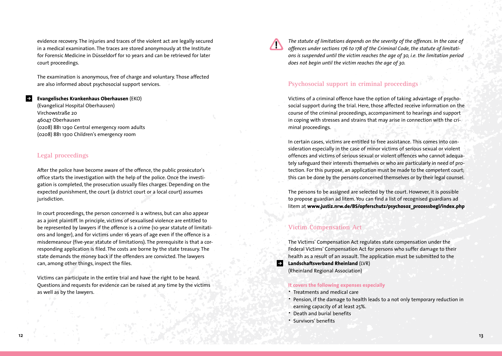evidence recovery. The injuries and traces of the violent act are legally secured in a medical examination. The traces are stored anonymously at the Institute for Forensic Medicine in Düsseldorf for 10 years and can be retrieved for later court proceedings.

The examination is anonymous, free of charge and voluntary. Those affected are also informed about psychosocial support services.

#### **Evangelisches Krankenhaus Oberhausen** (EKO)

(Evangelical Hospital Oberhausen) Virchowstraße 20 46047 Oberhausen (0208) 881 1290 Central emergency room adults (0208) 881 1300 Children's emergency room

#### **Legal proceedings**

After the police have become aware of the offence, the public prosecutor's office starts the investigation with the help of the police. Once the investigation is completed, the prosecution usually files charges. Depending on the expected punishment, the court (a district court or a local court) assumes jurisdiction.

In court proceedings, the person concerned is a witness, but can also appear as a joint plaintiff. In principle, victims of sexualised violence are entitled to be represented by lawyers if the offence is a crime (10-year statute of limitations and longer), and for victims under 16 years of age even if the offence is a misdemeanour (five-year statute of limitations). The prerequisite is that a corresponding application is filed. The costs are borne by the state treasury. The state demands the money back if the offenders are convicted. The lawyers can, among other things, inspect the files.

Victims can participate in the entire trial and have the right to be heard. Questions and requests for evidence can be raised at any time by the victims as well as by the lawyers.

*The statute of limitations depends on the severity of the offences. In the case of offences under sections 176 to 178 of the Criminal Code, the statute of limitations is suspended until the victim reaches the age of 30, i.e. the limitation period does not begin until the victim reaches the age of 30.* 

#### **Psychosocial support in criminal proceedings**

Victims of a criminal offence have the option of taking advantage of psychosocial support during the trial. Here, those affected receive information on the course of the criminal proceedings, accompaniment to hearings and support in coping with stresses and strains that may arise in connection with the criminal proceedings.

In certain cases, victims are entitled to free assistance. This comes into consideration especially in the case of minor victims of serious sexual or violent offences and victims of serious sexual or violent offences who cannot adequately safeguard their interests themselves or who are particularly in need of protection. For this purpose, an application must be made to the competent court; this can be done by the persons concerned themselves or by their legal counsel.

The persons to be assigned are selected by the court. However, it is possible to propose guardian ad litem. You can find a list of recognised guardians ad litem at **www.justiz.nrw.de/BS/opferschutz/psychosoz\_prozessbegl/index.php**

#### **Victim Compensation Act**

The Victims' Compensation Act regulates state compensation under the Federal Victims' Compensation Act for persons who suffer damage to their health as a result of an assault. The application must be submitted to the

**Landschaftsverband Rheinland** (LVR) (Rheinland Regional Association)

#### **It covers the following expenses especially**

- · Treatments and medical care
- · Pension, if the damage to health leads to a not only temporary reduction in earning capacity of at least 25%.
- · Death and burial benefits
- · Survivors' benefits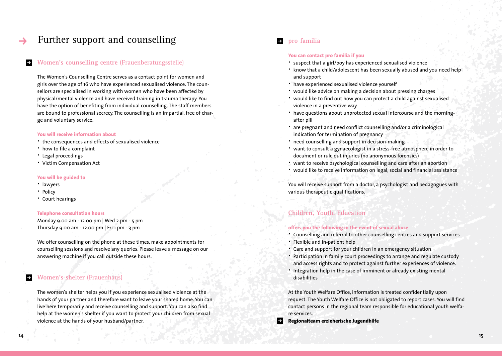## Further support and counselling

#### **Women's counselling centre** (Frauenberatungsstelle)

The Women's Counselling Centre serves as a contact point for women and girls over the age of 16 who have experienced sexualised violence. The counsellors are specialised in working with women who have been affected by physical/mental violence and have received training in trauma therapy. You have the option of benefiting from individual counselling. The staff members are bound to professional secrecy. The counselling is an impartial, free of charge and voluntary service.

#### **You will receive information about**

- · the consequences and effects of sexualised violence
- · how to file a complaint
- · Legal proceedings
- · Victim Compensation Act

#### **You will be guided to**

- · lawyers
- · Policy
- · Court hearings

#### **Telephone consultation hours**

Monday 9.00 am - 12.00 pm | Wed 2 pm - 5 pm Thursday 9.00 am - 12.00 pm | Fri 1 pm - 3 pm

We offer counselling on the phone at these times, make appointments for counselling sessions and resolve any queries. Please leave a message on our answering machine if you call outside these hours.

### **Women's shelter** (Frauenhaus)

The women's shelter helps you if you experience sexualised violence at the hands of your partner and therefore want to leave your shared home. You can live here temporarily and receive counselling and support. You can also find help at the women's shelter if you want to protect your children from sexual violence at the hands of your husband/partner.

#### $\rightarrow$ **pro familia**

#### **You can contact pro familia if you**

- · suspect that a girl/boy has experienced sexualised violence
- · know that a child/adolescent has been sexually abused and you need help and support
- · have experienced sexualised violence yourself
- · would like advice on making a decision about pressing charges
- · would like to find out how you can protect a child against sexualised violence in a preventive way
- · have questions about unprotected sexual intercourse and the morningafter pill
- · are pregnant and need conflict counselling and/or a criminological indication for termination of pregnancy
- · need counselling and support in decision-making
- · want to consult a gynaecologist in a stress-free atmosphere in order to document or rule out injuries (no anonymous forensics)
- · want to receive psychological counselling and care after an abortion
- · would like to receive information on legal, social and financial assistance

You will receive support from a doctor, a psychologist and pedagogues with various therapeutic qualifications.

#### **Children, Youth, Education**

#### **offers you the following in the event of sexual abuse**

- · Counselling and referral to other counselling centres and support services
- · Flexible and in-patient help
- · Care and support for your children in an emergency situation
- · Participation in family court proceedings to arrange and regulate custody and access rights and to protect against further experiences of violence.
- · Integration help in the case of imminent or already existing mental disabilities

At the Youth Welfare Office, information is treated confidentially upon request. The Youth Welfare Office is not obligated to report cases. You will find contact persons in the regional team responsible for educational youth welfare services.

 $\rightarrow$ **Regionalteam erzieherische Jugendhilfe**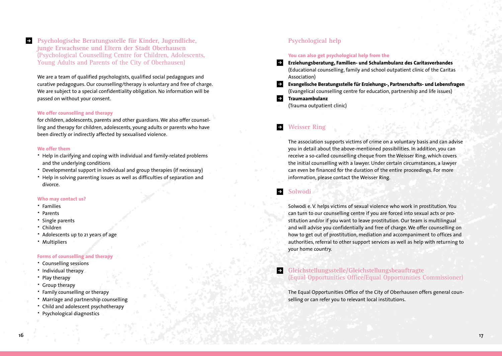**Psychologische Beratungsstelle für Kinder, Jugendliche, junge Erwachsene und Eltern der Stadt Oberhausen** (Psychological Counselling Centre for Children, Adolescents, Young Adults and Parents of the City of Oberhausen)

We are a team of qualified psychologists, qualified social pedagogues and curative pedagogues. Our counselling/therapy is voluntary and free of charge. We are subject to a special confidentiality obligation. No information will be passed on without your consent.

#### **We offer counselling and therapy**

for children, adolescents, parents and other guardians. We also offer counselling and therapy for children, adolescents, young adults or parents who have been directly or indirectly affected by sexualised violence.

#### **We offer them**

 $\rightarrow$ 

- · Help in clarifying and coping with individual and family-related problems and the underlying conditions
- Developmental support in individual and group therapies (if necessary)
- · Help in solving parenting issues as well as difficulties of separation and divorce.

#### **Who may contact us?**

- · Families
- · Parents
- · Single parents
- · Children
- · Adolescents up to 21 years of age
- · Multipliers

#### **Forms of counselling and therapy**

- · Counselling sessions
- · Individual therapy
- · Play therapy
- · Group therapy
- · Family counselling or therapy
- · Marriage and partnership counselling
- · Child and adolescent psychotherapy
- · Psychological diagnostics

### **Psychological help**

#### **You can also get psychological help from the**

- **Erziehungsberatung, Familien- und Schulambulanz des Caritasverbandes** (Educational counselling, family and school outpatient clinic of the Caritas Association)
- $\rightarrow$ **Evangelische Beratungsstelle für Erziehungs-, Partnerschafts- und Lebensfragen**  (Evangelical counselling centre for education, partnership and life issues)
- **Traumaambulanz**   $\rightarrow$ 
	- (Trauma outpatient clinic)

#### $\rightarrow$ **Weisser Ring**

The association supports victims of crime on a voluntary basis and can advise you in detail about the above-mentioned possibilities. In addition, you can receive a so-called counselling cheque from the Weisser Ring, which covers the initial counselling with a lawyer. Under certain circumstances, a lawyer can even be financed for the duration of the entire proceedings. For more information, please contact the Weisser Ring.

#### **Solwodi**  $\rightarrow$

Solwodi e. V. helps victims of sexual violence who work in prostitution. You can turn to our counselling centre if you are forced into sexual acts or prostitution and/or if you want to leave prostitution. Our team is multilingual and will advise you confidentially and free of charge. We offer counselling on how to get out of prostitution, mediation and accompaniment to offices and authorities, referral to other support services as well as help with returning to your home country.

#### **Gleichstellungsstelle/Gleichstellungsbeauftragte** (Equal Opportunities Office/Equal Opportunities Commissioner)

The Equal Opportunities Office of the City of Oberhausen offers general counselling or can refer you to relevant local institutions.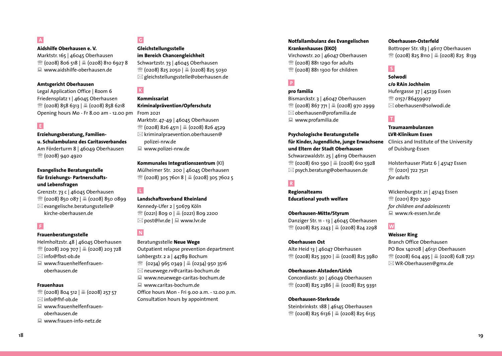**Aidshilfe Oberhausen e. V.** 

Marktstr. 165 | 46045 Oberhausen  $\mathcal{R}$  (0208) 806 518 |  $\mathcal{B}$  (0208) 810 6927 8 : www.aidshilfe-oberhausen.de

#### **Amtsgericht Oberhausen**

Legal Application Office | Room 6 Friedensplatz 1 | 46045 Oberhausen  $\mathcal{R}$  (0208) 858 6313 |  $\mathcal{L}$  (0208) 858 6218 Opening hours Mo - Fr 8.00 am - 12.00 pm From 2021

### E.

**Erziehungsberatung, Familienu. Schulambulanz des Caritasverbandes** Am Förderturm 8 | 46049 Oberhausen <sup>2</sup> (0208) 940 4920

#### **Evangelische Beratungsstelle für Erziehungs- Partnerschaftsund Lebensfragen**

Grenzstr. 73 c | 46045 Oberhausen  $\circ$  (0208) 850 087  $\circ$  (0208) 850 0899  $\boxtimes$  evangelische.beratungsstelle@ kirche-oberhausen.de

#### **Frauenberatungsstelle**

Helmholtzstr. 48 | 46045 Oberhausen  $\mathcal{B}$  (0208) 209 707  $\mathcal{B}$  (0208) 203 728  $\boxtimes$  info@fbst-ob.de

: www.frauenhelfenfrauenoberhausen.de

#### **Frauenhaus**

 $\mathcal{R}$  (0208) 804 512  $\mathcal{L}$  (0208) 257 57  $\boxtimes$ info@fhf-ob.de

- : www.frauenhelfenfrauenoberhausen.de
- : www.frauen-info-netz.de

### $\overline{\mathsf{G}}$

**Gleichstellungsstelle im Bereich Chancengleichheit** Schwartzstr. 73 | 46045 Oberhausen  $\mathcal{R}$  (0208) 825 2050  $\vert$  8 (0208) 825 5030  $\boxtimes$  gleichstellungsstelle@oberhausen.de

## $\overline{\mathsf{K}}$

**Kommissariat Kriminalprävention/Opferschutz**

- Marktstr. 47-49 | 46045 Oberhausen **<sup>2</sup> (0208) 826 4511 | 4 (0208) 826 4529**  $\boxtimes$  kriminalpraevention.oberhausen@ polizei-nrw.de
- : www.polizei-nrw.de

#### **Kommunales Integrationszentrum** (KI)

Mülheimer Str. 200 | 46045 Oberhausen  $\mathbb{R}$  (0208) 305 7601 8  $\vert$   $\mathbb{B}$  (0208) 305 7602 5

### L.

N

**Landschaftsverband Rheinland**

Kennedy-Ufer 2 | 50679 Köln  $\mathcal{B}$  (0221) 809 0 |  $\mathcal{B}$  (0221) 809 2200  $\boxtimes$  post@lvr.de |  $\boxplus$  www.lvr.de

#### Beratungsstelle **Neue Wege**

Outpatient relapse prevention department Lohbergstr. 2 a | 44789 Bochum  $\mathbb{B}$  (0234) 965 0349  $\mathbb{B}$  (0234) 950 3516  $\boxtimes$  neuewege.rv@caritas-bochum.de : www.neuewege-caritas-bochum.de  $\Box$  www.caritas-bochum.de Office hours Mon - Fri 9.00 a.m. - 12.00 p.m. Consultation hours by appointment

#### **Notfallambulanz des Evangelischen Krankenhauses (EKO)**

Virchowstr. 20 | 46047 Oberhausen  $\mathbb{R}$  (0208) 881 1290 for adults  $\mathbb{R}$  (0208) 881 1300 for children

### $P$

#### **pro familia**

Bismarckstr. 3 | 46047 Oberhausen  $\mathcal{E}$  (0208) 867 771  $\mathcal{E}$  (0208) 970 2999  $\boxtimes$  oberhausen@profamilia.de  $\Box$  www.profamilia.de

#### **Psychologische Beratungsstelle für Kinder, Jugendliche, junge Erwachsene**

**und Eltern der Stadt Oberhausen**

Schwarzwaldstr. 25 | 46119 Oberhausen  $\mathcal{R}$  (0208) 610 590  $\vert$  8 (0208) 610 5928  $\boxtimes$  psych.beratung@oberhausen.de

#### $|R|$

**Regionalteams Educational youth welfare**

#### **Oberhausen-Mitte/Styrum**

Danziger Str. 11 - 13 | 46045 Oberhausen  $\circ$  (0208) 825 2243  $\circ$  (0208) 824 2298

#### **Oberhausen Ost**

Alte Heid 13 | 46047 Oberhausen  $\mathcal{R}$  (0208) 825 3970  $\mathcal{L}$  (0208) 825 3980

#### **Oberhausen-Alstaden/Lirich**

Concordiastr. 30 | 46049 Oberhausen  $\mathcal{R}$  (0208) 825 2386 |  $\mathcal{L}$  (0208) 825 9391

#### **Oberhausen-Sterkrade**

Steinbrinkstr. 188 | 46145 Oberhausen  $\mathcal{B}$  (0208) 825 6136 |  $\mathcal{B}$  (0208) 825 6135

#### **Oberhausen-Osterfeld**

Bottroper Str. 183 | 46117 Oberhausen <sup><sup>3</sup> (0208) 825 8110 | 4 (0208) 825 8139</sup>

### $\overline{\mathsf{S}}$

#### **Solwodi c/o RAin Jochheim**

Hufergasse 37 | 45239 Essen <sup>2</sup> 0157/86459907  $\boxtimes$ oberhausen@solwodi.de

#### $\top$

#### **Traumaambulanzen LVR-Klinikum Essen**

Clinics and Institute of the University of Duisburg-Essen

Holsterhauser Platz 6 | 45147 Essen <sup>2</sup> (0201) 722 7521 *for adults*

Wickenburgstr. 21 | 45143 Essen <sup>3</sup> (0201) 870 7450 *for children and adolescents* : www.rk-essen.lvr.de

## W

#### **Weisser Ring**

Branch Office Oberhausen PO Box 140108 | 46131 Oberhausen  $\mathcal{R}$  (0208) 604 495  $\mathcal{L}$  (0208) 628 7251  $\boxtimes$  WR-Oberhausen@gmx.de